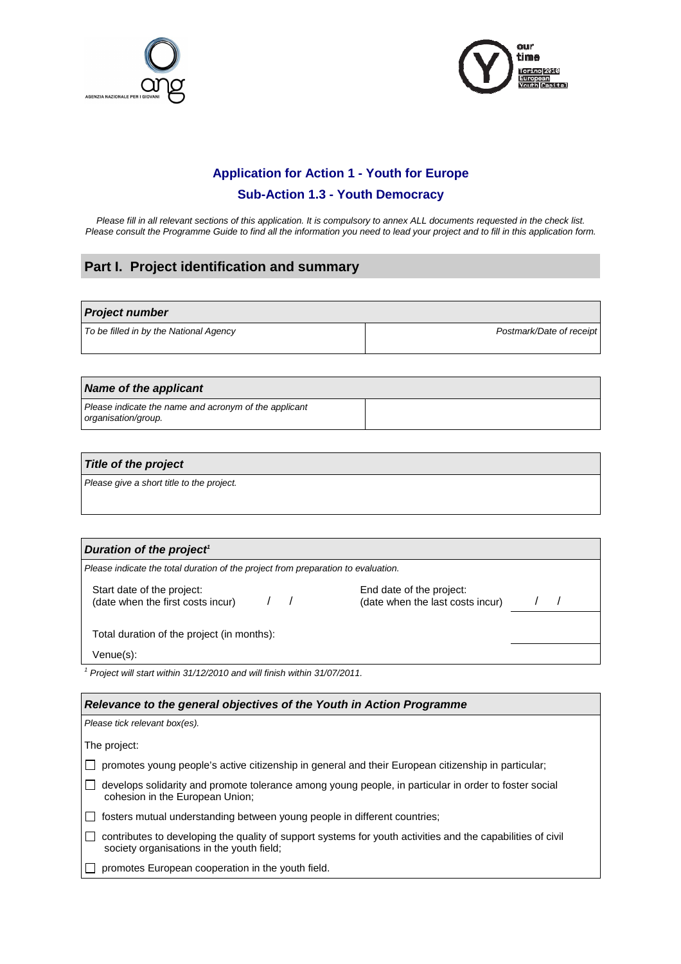



### **Application for Action 1 - Youth for Europe**

### **Sub-Action 1.3 - Youth Democracy**

Please fill in all relevant sections of this application. It is compulsory to annex ALL documents requested in the check list. Please consult the Programme Guide to find all the information you need to lead your project and to fill in this application form.

## **Part I. Project identification and summary**

#### **Project number**

| To be filled in by the National Agency | Postmark/Date of receipt |  |  |  |
|----------------------------------------|--------------------------|--|--|--|

#### **Name of the applicant**

Please indicate the name and acronym of the applicant organisation/group.

### **Title of the project**

Please give a short title to the project.

### **Duration of the project<sup>1</sup>**

Please indicate the total duration of the project from preparation to evaluation.

Start date of the project: (date when the first costs incur) / /

End date of the project: (date when the last costs incur)

| 7 | $\prime$ |  |
|---|----------|--|
|   |          |  |

Total duration of the project (in months):

Venue(s):

<sup>1</sup> Project will start within 31/12/2010 and will finish within 31/07/2011.

#### **Relevance to the general objectives of the Youth in Action Programme**

| Please tick relevant box(es).                                                                                                                            |
|----------------------------------------------------------------------------------------------------------------------------------------------------------|
| The project:                                                                                                                                             |
| promotes young people's active citizenship in general and their European citizenship in particular;                                                      |
| develops solidarity and promote tolerance among young people, in particular in order to foster social<br>cohesion in the European Union;                 |
| fosters mutual understanding between young people in different countries;                                                                                |
| contributes to developing the quality of support systems for youth activities and the capabilities of civil<br>society organisations in the youth field; |
| promotes European cooperation in the youth field.                                                                                                        |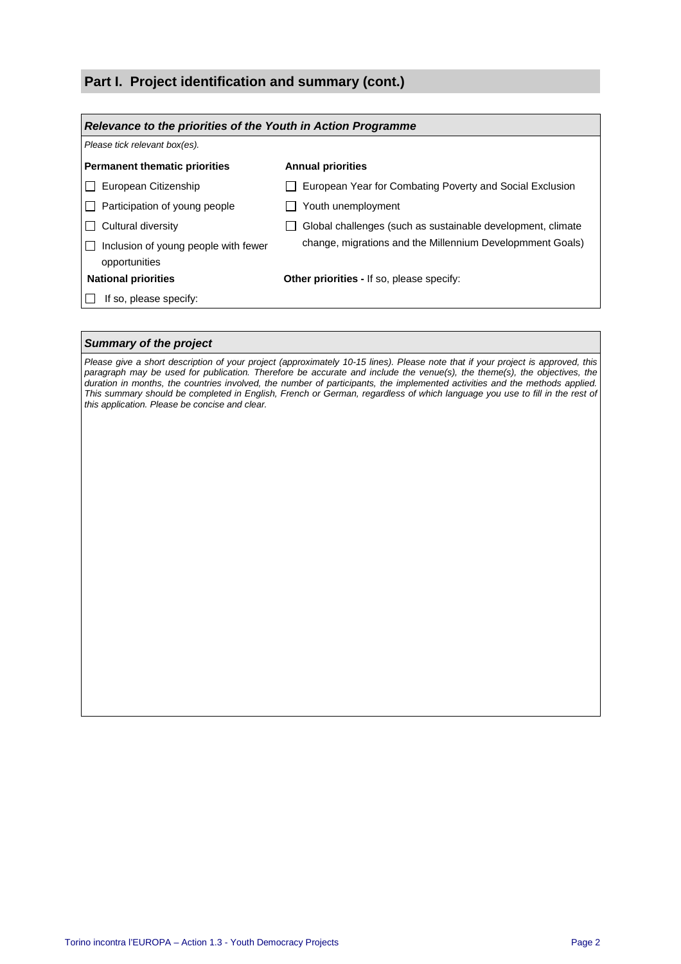### **Part I. Project identification and summary (cont.)**

| Relevance to the priorities of the Youth in Action Programme |                                                             |  |  |
|--------------------------------------------------------------|-------------------------------------------------------------|--|--|
| Please tick relevant box(es).                                |                                                             |  |  |
| <b>Permanent thematic priorities</b>                         | <b>Annual priorities</b>                                    |  |  |
| European Citizenship                                         | European Year for Combating Poverty and Social Exclusion    |  |  |
| Participation of young people                                | Youth unemployment                                          |  |  |
| Cultural diversity                                           | Global challenges (such as sustainable development, climate |  |  |
| Inclusion of young people with fewer<br>opportunities        | change, migrations and the Millennium Developmment Goals)   |  |  |
| <b>National priorities</b>                                   | <b>Other priorities - If so, please specify:</b>            |  |  |
| If so, please specify:                                       |                                                             |  |  |

#### **Summary of the project**

Please give a short description of your project (approximately 10-15 lines). Please note that if your project is approved, this paragraph may be used for publication. Therefore be accurate and include the venue(s), the theme(s), the objectives, the duration in months, the countries involved, the number of participants, the implemented activities and the methods applied. This summary should be completed in English, French or German, regardless of which language you use to fill in the rest of this application. Please be concise and clear.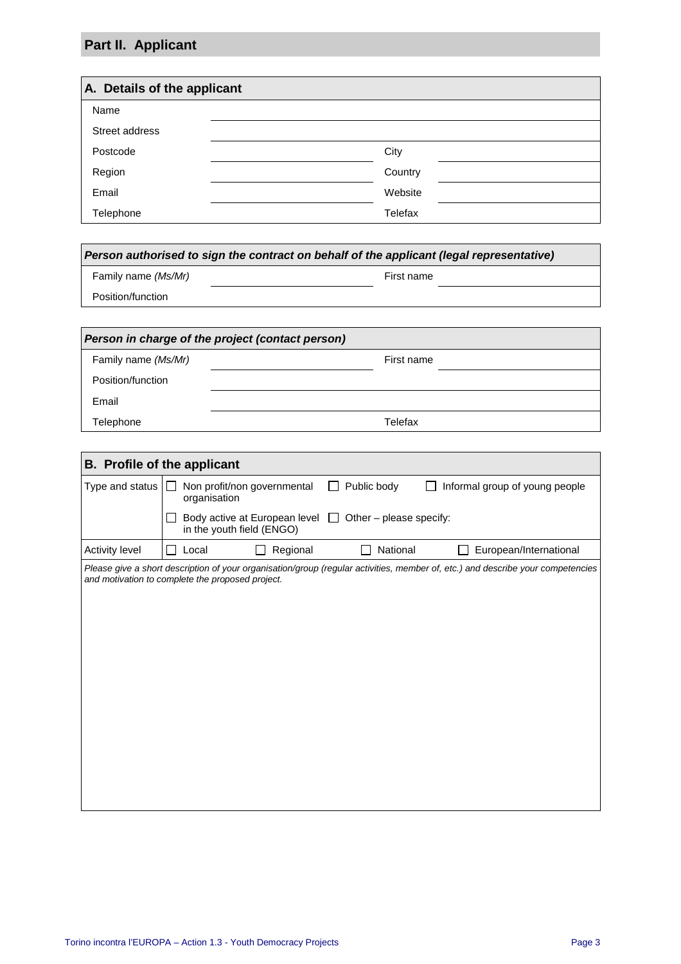# **Part II. Applicant**

| A. Details of the applicant |         |  |  |
|-----------------------------|---------|--|--|
| Name                        |         |  |  |
| Street address              |         |  |  |
| Postcode                    | City    |  |  |
| Region                      | Country |  |  |
| Email                       | Website |  |  |
| Telephone                   | Telefax |  |  |

| Family name (Ms/Mr)                              |              | First name                                                        |                         |                                                                                                                                 |  |
|--------------------------------------------------|--------------|-------------------------------------------------------------------|-------------------------|---------------------------------------------------------------------------------------------------------------------------------|--|
| Position/function                                |              |                                                                   |                         |                                                                                                                                 |  |
|                                                  |              |                                                                   |                         |                                                                                                                                 |  |
|                                                  |              | Person in charge of the project (contact person)                  |                         |                                                                                                                                 |  |
| Family name (Ms/Mr)                              |              |                                                                   | First name              |                                                                                                                                 |  |
| Position/function                                |              |                                                                   |                         |                                                                                                                                 |  |
| Email                                            |              |                                                                   |                         |                                                                                                                                 |  |
| Telephone                                        |              |                                                                   | Telefax                 |                                                                                                                                 |  |
|                                                  |              |                                                                   |                         |                                                                                                                                 |  |
| <b>B.</b> Profile of the applicant               |              |                                                                   |                         |                                                                                                                                 |  |
| Type and status                                  | organisation | Non profit/non governmental                                       | Public body             | Informal group of young people                                                                                                  |  |
|                                                  |              | Body active at European level $\Box$<br>in the youth field (ENGO) | Other - please specify: |                                                                                                                                 |  |
| Activity level                                   | Local        | Regional                                                          | National                | European/International                                                                                                          |  |
| and motivation to complete the proposed project. |              |                                                                   |                         | Please give a short description of your organisation/group (regular activities, member of, etc.) and describe your competencies |  |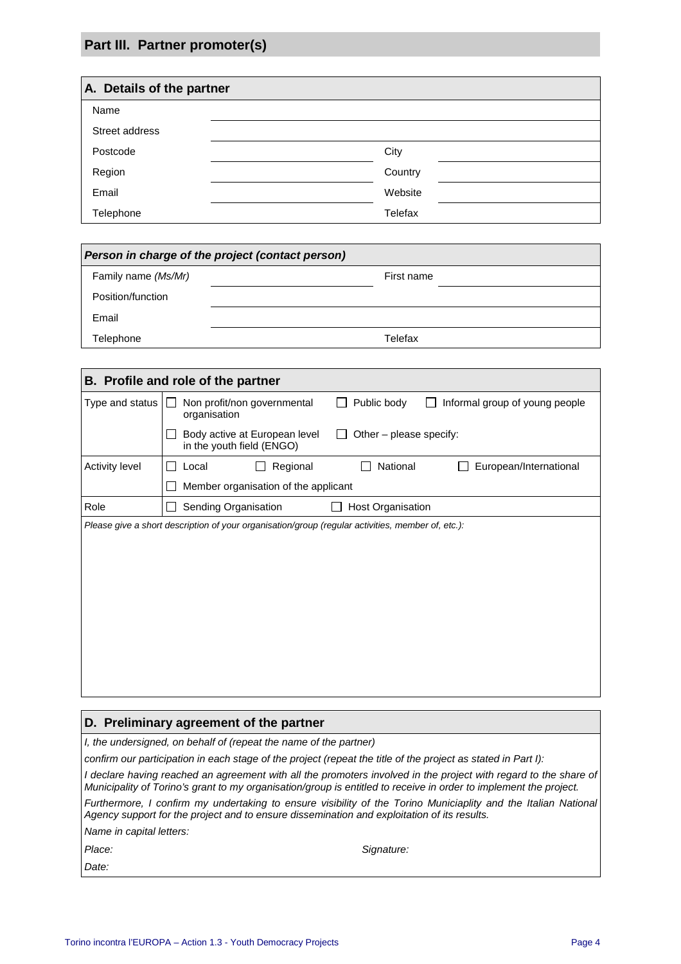# **Part III. Partner promoter(s)**

| A. Details of the partner |         |
|---------------------------|---------|
| Name                      |         |
| Street address            |         |
| Postcode                  | City    |
| Region                    | Country |
| Email                     | Website |
| Telephone                 | Telefax |

| Person in charge of the project (contact person) |            |  |  |  |
|--------------------------------------------------|------------|--|--|--|
| Family name (Ms/Mr)                              | First name |  |  |  |
| Position/function                                |            |  |  |  |
| Email                                            |            |  |  |  |
| Telephone                                        | Telefax    |  |  |  |

|                       | B. Profile and role of the partner                                                                           |
|-----------------------|--------------------------------------------------------------------------------------------------------------|
| Type and status       | Non profit/non governmental<br>Public body<br>Informal group of young people<br>$\mathsf{L}$<br>organisation |
|                       | Other $-$ please specify:<br>Body active at European level<br>$\mathbf{L}$<br>in the youth field (ENGO)      |
| <b>Activity level</b> | National<br>Regional<br>European/International<br>Local                                                      |
|                       | Member organisation of the applicant                                                                         |
| Role                  | Sending Organisation<br>Host Organisation                                                                    |
|                       | Please give a short description of your organisation/group (regular activities, member of, etc.):            |
|                       |                                                                                                              |
|                       |                                                                                                              |
|                       |                                                                                                              |

#### **D. Preliminary agreement of the partner**

I, the undersigned, on behalf of (repeat the name of the partner)

confirm our participation in each stage of the project (repeat the title of the project as stated in Part I):

I declare having reached an agreement with all the promoters involved in the project with regard to the share of Municipality of Torino's grant to my organisation/group is entitled to receive in order to implement the project.

Furthermore, I confirm my undertaking to ensure visibility of the Torino Municiaplity and the Italian National Agency support for the project and to ensure dissemination and exploitation of its results.

Name in capital letters:

Date:

Place: Signature: Signature: Signature: Signature: Signature: Signature: Signature: Signature: Signature: Signature: Signature: Signature: Signature: Signature: Signature: Signature: Signature: Signature: Signature: Signat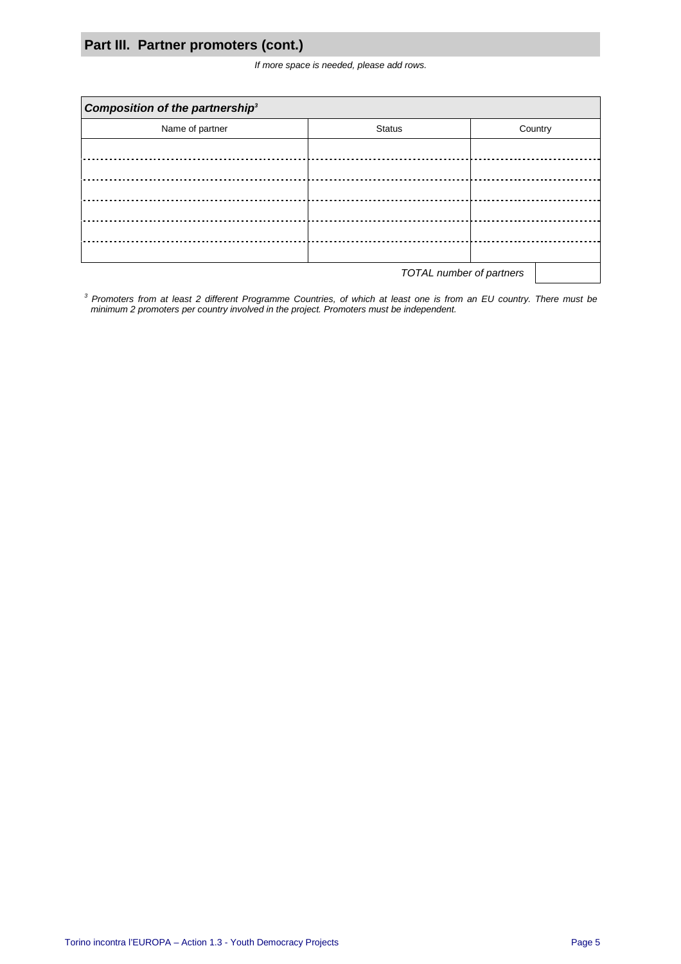## **Part III. Partner promoters (cont.)**

If more space is needed, please add rows.

| Composition of the partnership <sup>3</sup> |               |         |  |  |  |
|---------------------------------------------|---------------|---------|--|--|--|
| Name of partner                             | <b>Status</b> | Country |  |  |  |
|                                             |               |         |  |  |  |
|                                             |               |         |  |  |  |
|                                             |               |         |  |  |  |
|                                             |               |         |  |  |  |
|                                             |               |         |  |  |  |
|                                             |               |         |  |  |  |
| TOTAL number of partners                    |               |         |  |  |  |

 $3$  Promoters from at least 2 different Programme Countries, of which at least one is from an EU country. There must be minimum 2 promoters per country involved in the project. Promoters must be independent.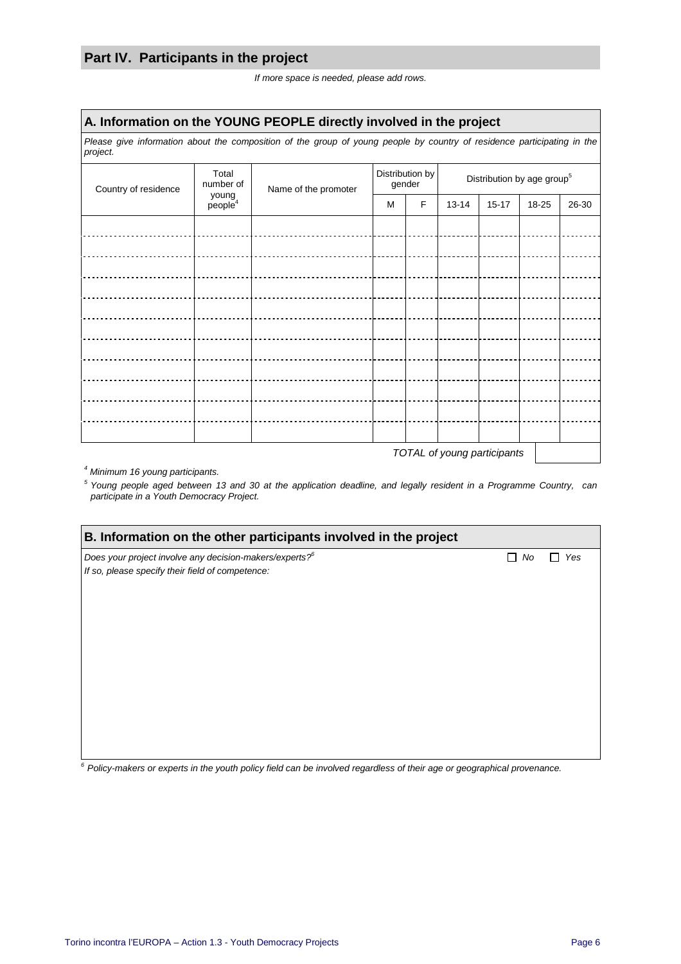## **Part IV. Participants in the project**

If more space is needed, please add rows.

### **A. Information on the YOUNG PEOPLE directly involved in the project**

Please give information about the composition of the group of young people by country of residence participating in the project.

| Country of residence | Total<br>number of           | Name of the promoter |   | Distribution by<br>gender |           | Distribution by age group <sup>5</sup> |       |       |
|----------------------|------------------------------|----------------------|---|---------------------------|-----------|----------------------------------------|-------|-------|
|                      | young<br>people <sup>4</sup> |                      | M | F                         | $13 - 14$ | $15 - 17$                              | 18-25 | 26-30 |
|                      |                              |                      |   |                           |           |                                        |       |       |
|                      |                              |                      |   |                           |           |                                        |       |       |
|                      |                              |                      |   |                           |           |                                        |       |       |
|                      |                              |                      |   |                           |           |                                        |       |       |
|                      |                              |                      |   |                           |           |                                        |       |       |
|                      |                              |                      |   |                           |           |                                        |       |       |
|                      |                              |                      |   |                           |           |                                        |       |       |
|                      |                              |                      |   |                           |           |                                        |       |       |
|                      |                              |                      |   |                           |           |                                        |       |       |
|                      |                              |                      |   |                           |           |                                        |       |       |
|                      |                              |                      |   |                           |           |                                        |       |       |
|                      |                              |                      |   |                           |           |                                        |       |       |

TOTAL of young participants

4 Minimum 16 young participants.

<sup>5</sup> Young people aged between 13 and 30 at the application deadline, and legally resident in a Programme Country, can participate in a Youth Democracy Project.

| B. Information on the other participants involved in the project                                                        |             |  |  |  |
|-------------------------------------------------------------------------------------------------------------------------|-------------|--|--|--|
| Does your project involve any decision-makers/experts? <sup>6</sup><br>If so, please specify their field of competence: | Yes<br>. No |  |  |  |
|                                                                                                                         |             |  |  |  |
|                                                                                                                         |             |  |  |  |
|                                                                                                                         |             |  |  |  |

 $6$  Policy-makers or experts in the youth policy field can be involved regardless of their age or geographical provenance.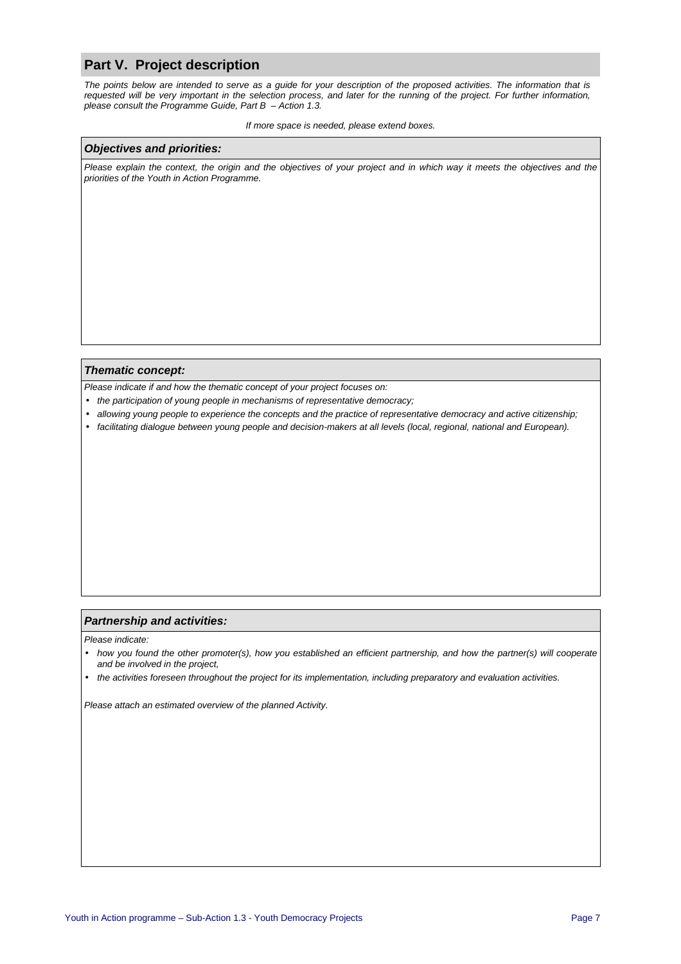### **Part V. Project description**

The points below are intended to serve as a guide for your description of the proposed activities. The information that is requested will be very important in the selection process, and later for the running of the project. For further information, please consult the Programme Guide, Part  $B -$ Action 1.3.

#### If more space is needed, please extend boxes.

#### **Objectives and priorities:**

Please explain the context, the origin and the objectives of your project and in which way it meets the objectives and the priorities of the Youth in Action Programme.

#### **Thematic concept:**

Please indicate if and how the thematic concept of your project focuses on:

- the participation of young people in mechanisms of representative democracy;
- allowing young people to experience the concepts and the practice of representative democracy and active citizenship;
- facilitating dialogue between young people and decision-makers at all levels (local, regional, national and European).

#### **Partnership and activities:**

Please indicate:

- how you found the other promoter(s), how you established an efficient partnership, and how the partner(s) will cooperate and be involved in the project,
- the activities foreseen throughout the project for its implementation, including preparatory and evaluation activities.

Please attach an estimated overview of the planned Activity.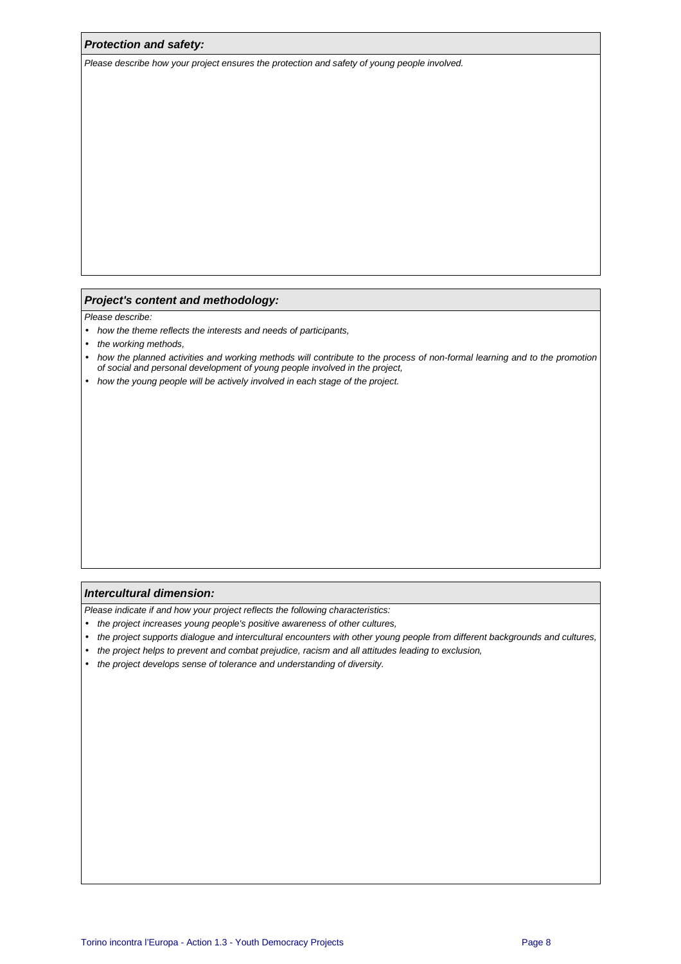#### **Protection and safety:**

Please describe how your project ensures the protection and safety of young people involved.

#### **Project's content and methodology:**

Please describe:

- how the theme reflects the interests and needs of participants,
- the working methods,
- how the planned activities and working methods will contribute to the process of non-formal learning and to the promotion of social and personal development of young people involved in the project,
- how the young people will be actively involved in each stage of the project.

#### **Intercultural dimension:**

Please indicate if and how your project reflects the following characteristics:

- the project increases young people's positive awareness of other cultures,
- the project supports dialogue and intercultural encounters with other young people from different backgrounds and cultures,
- the project helps to prevent and combat prejudice, racism and all attitudes leading to exclusion,
- the project develops sense of tolerance and understanding of diversity.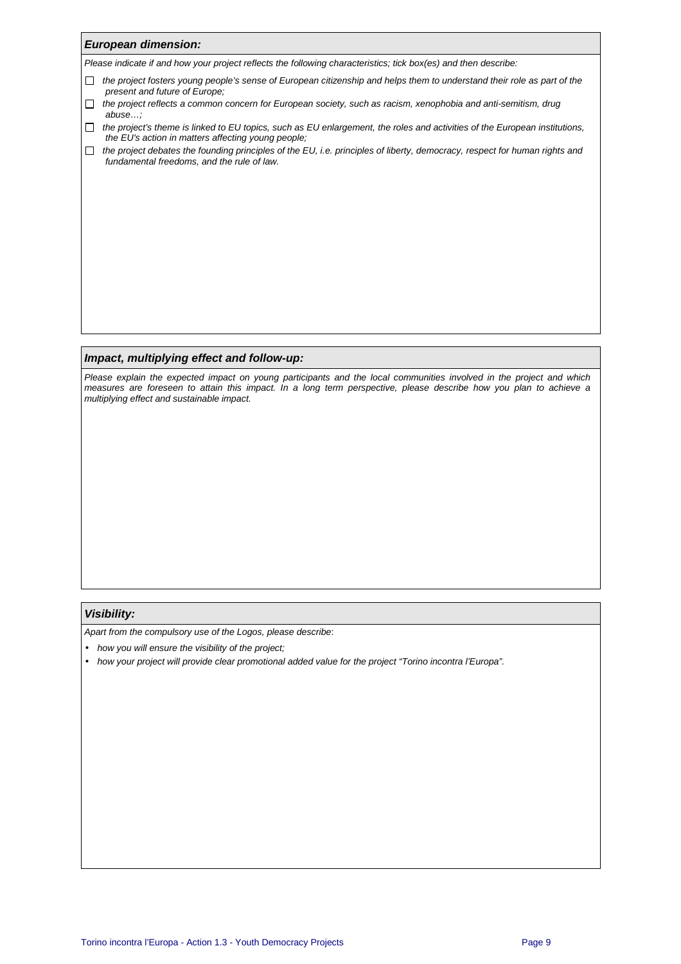| <b>European dimension:</b>                                                                                                                                                                  |
|---------------------------------------------------------------------------------------------------------------------------------------------------------------------------------------------|
| Please indicate if and how your project reflects the following characteristics; tick box(es) and then describe:                                                                             |
| the project fosters young people's sense of European citizenship and helps them to understand their role as part of the<br>$\mathbf{I}$<br>present and future of Europe;                    |
| the project reflects a common concern for European society, such as racism, xenophobia and anti-semitism, drug<br>abuse                                                                     |
| the project's theme is linked to EU topics, such as EU enlargement, the roles and activities of the European institutions,<br>$\perp$<br>the EU's action in matters affecting young people: |
| the project debates the founding principles of the EU, i.e. principles of liberty, democracy, respect for human rights and<br>$\Box$<br>fundamental freedoms, and the rule of law.          |
|                                                                                                                                                                                             |
|                                                                                                                                                                                             |
|                                                                                                                                                                                             |
|                                                                                                                                                                                             |
|                                                                                                                                                                                             |
|                                                                                                                                                                                             |
|                                                                                                                                                                                             |
|                                                                                                                                                                                             |
|                                                                                                                                                                                             |
| Impact, multiplying effect and follow-up:                                                                                                                                                   |

Please explain the expected impact on young participants and the local communities involved in the project and which measures are foreseen to attain this impact. In a long term perspective, please describe how you plan to achieve a multiplying effect and sustainable impact.

#### **Visibility:**

Apart from the compulsory use of the Logos, please describe:

- how you will ensure the visibility of the project;
- how your project will provide clear promotional added value for the project "Torino incontra l'Europa".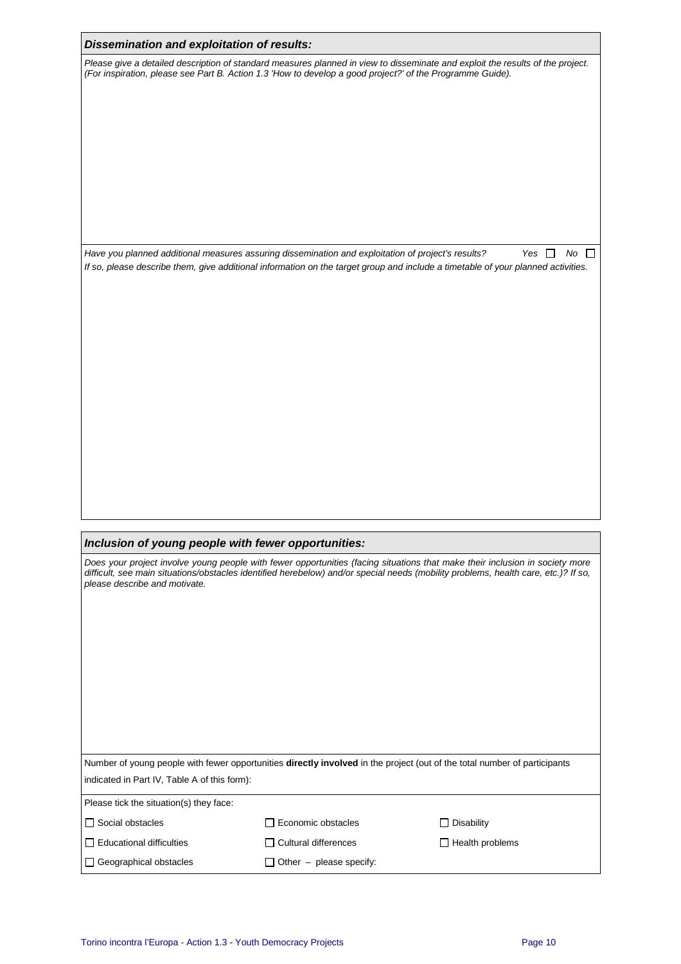| Dissemination and exploitation of results: |  |  |
|--------------------------------------------|--|--|
|--------------------------------------------|--|--|

Please give a detailed description of standard measures planned in view to disseminate and exploit the results of the project. (For inspiration, please see Part B. Action 1.3 'How to develop a good project?' of the Programme Guide).

Have you planned additional measures assuring dissemination and exploitation of project's results? Yes  $\Box$  No  $\Box$ If so, please describe them, give additional information on the target group and include a timetable of your planned activities.

### **Inclusion of young people with fewer opportunities:**

Does your project involve young people with fewer opportunities (facing situations that make their inclusion in society more difficult, see main situations/obstacles identified herebelow) and/or special needs (mobility problems, health care, etc.)? If so, please describe and motivate.

| Number of young people with fewer opportunities <b>directly involved</b> in the project (out of the total number of participants |  |
|----------------------------------------------------------------------------------------------------------------------------------|--|
| indicated in Part IV, Table A of this form):                                                                                     |  |

| Please tick the situation(s) they face: |                                |                        |
|-----------------------------------------|--------------------------------|------------------------|
| □ Social obstacles                      | Economic obstacles             | $\Box$ Disability      |
| $\Box$ Educational difficulties         | $\Box$ Cultural differences    | $\Box$ Health problems |
| $\Box$ Geographical obstacles           | $\Box$ Other – please specify: |                        |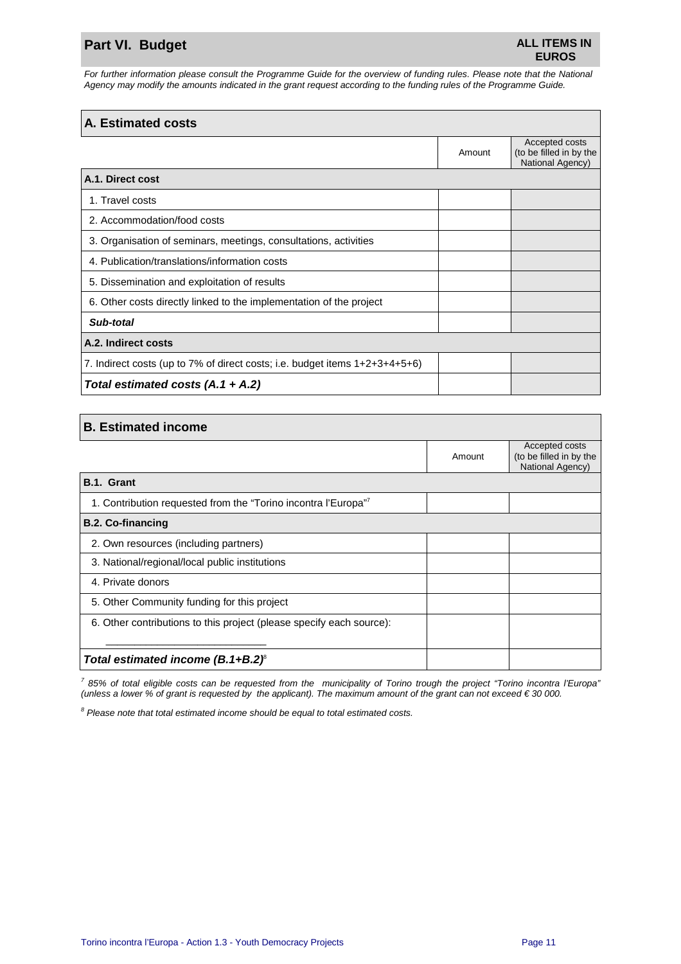# **Part VI. Budget ALL ITEMS IN**

For further information please consult the Programme Guide for the overview of funding rules. Please note that the National Agency may modify the amounts indicated in the grant request according to the funding rules of the Programme Guide.

# **A. Estimated costs**  Amount Accepted costs (to be filled in by the National Agency) **A.1. Direct cost**  1. Travel costs 2. Accommodation/food costs 3. Organisation of seminars, meetings, consultations, activities 4. Publication/translations/information costs 5. Dissemination and exploitation of results 6. Other costs directly linked to the implementation of the project **Sub-total A.2. Indirect costs** 7. Indirect costs (up to 7% of direct costs; i.e. budget items 1+2+3+4+5+6) **Total estimated costs (A.1 + A.2)**

| <b>B. Estimated income</b> |  |
|----------------------------|--|
|----------------------------|--|

|                                                                      | Amount | Accepted costs<br>(to be filled in by the<br>National Agency) |
|----------------------------------------------------------------------|--------|---------------------------------------------------------------|
| B.1. Grant                                                           |        |                                                               |
| 1. Contribution requested from the "Torino incontra l'Europa"        |        |                                                               |
| <b>B.2. Co-financing</b>                                             |        |                                                               |
| 2. Own resources (including partners)                                |        |                                                               |
| 3. National/regional/local public institutions                       |        |                                                               |
| 4. Private donors                                                    |        |                                                               |
| 5. Other Community funding for this project                          |        |                                                               |
| 6. Other contributions to this project (please specify each source): |        |                                                               |
|                                                                      |        |                                                               |
| Total estimated income $(B.1 + B.2)^{\circ}$                         |        |                                                               |

<sup>7</sup> 85% of total eligible costs can be requested from the municipality of Torino trough the project "Torino incontra l'Europa" (unless a lower % of grant is requested by the applicant). The maximum amount of the grant can not exceed  $\epsilon$  30 000.

 $8$  Please note that total estimated income should be equal to total estimated costs.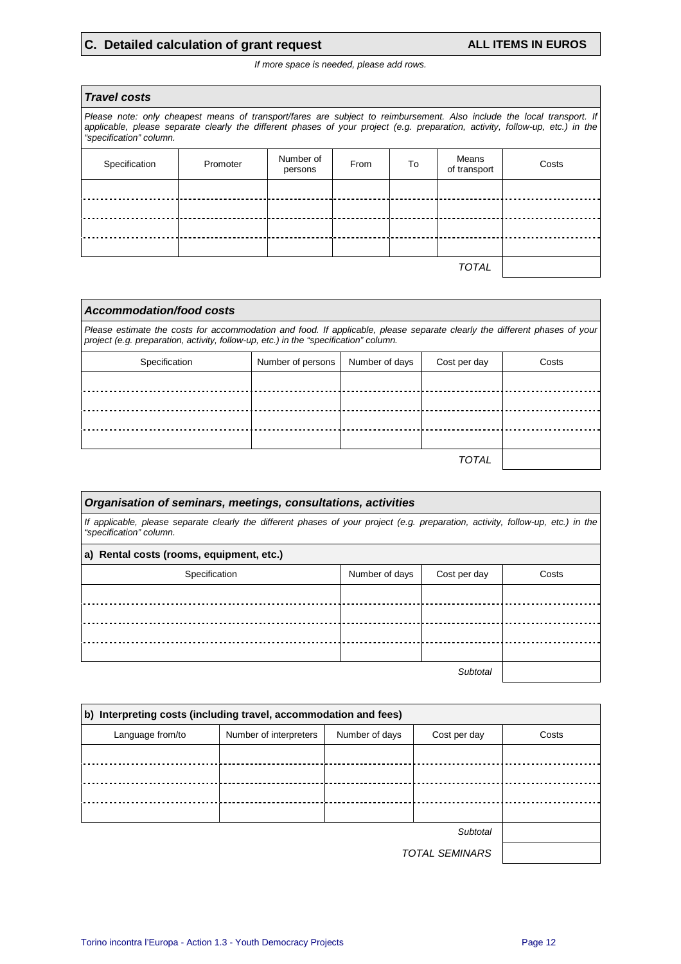# **C. Detailed calculation of grant request ALL ITEMS IN EUROS**

If more space is needed, please add rows.

| <b>Travel costs</b>                                                                                                                                                                                                                                                                |          |                      |      |    |                       |       |
|------------------------------------------------------------------------------------------------------------------------------------------------------------------------------------------------------------------------------------------------------------------------------------|----------|----------------------|------|----|-----------------------|-------|
| Please note: only cheapest means of transport/fares are subject to reimbursement. Also include the local transport. If<br>applicable, please separate clearly the different phases of your project (e.g. preparation, activity, follow-up, etc.) in the<br>"specification" column. |          |                      |      |    |                       |       |
| Specification                                                                                                                                                                                                                                                                      | Promoter | Number of<br>persons | From | To | Means<br>of transport | Costs |
|                                                                                                                                                                                                                                                                                    |          |                      |      |    |                       |       |
|                                                                                                                                                                                                                                                                                    |          |                      |      |    |                       |       |
|                                                                                                                                                                                                                                                                                    |          |                      |      |    |                       |       |
|                                                                                                                                                                                                                                                                                    |          |                      |      |    |                       |       |
| <b>TOTAL</b>                                                                                                                                                                                                                                                                       |          |                      |      |    |                       |       |
|                                                                                                                                                                                                                                                                                    |          |                      |      |    |                       |       |

| Accommodation/food costs                                                                                                                                                                                          |                   |                |              |       |  |
|-------------------------------------------------------------------------------------------------------------------------------------------------------------------------------------------------------------------|-------------------|----------------|--------------|-------|--|
| Please estimate the costs for accommodation and food. If applicable, please separate clearly the different phases of your<br>project (e.g. preparation, activity, follow-up, etc.) in the "specification" column. |                   |                |              |       |  |
| Specification                                                                                                                                                                                                     | Number of persons | Number of days | Cost per day | Costs |  |
|                                                                                                                                                                                                                   |                   |                |              |       |  |
|                                                                                                                                                                                                                   |                   |                |              |       |  |
|                                                                                                                                                                                                                   |                   |                |              |       |  |
|                                                                                                                                                                                                                   |                   |                |              |       |  |
|                                                                                                                                                                                                                   |                   |                | <b>TOTAL</b> |       |  |

| Organisation of seminars, meetings, consultations, activities                                                                                               |                |              |       |  |  |
|-------------------------------------------------------------------------------------------------------------------------------------------------------------|----------------|--------------|-------|--|--|
| If applicable, please separate clearly the different phases of your project (e.g. preparation, activity, follow-up, etc.) in the<br>"specification" column. |                |              |       |  |  |
| a) Rental costs (rooms, equipment, etc.)                                                                                                                    |                |              |       |  |  |
| Specification                                                                                                                                               | Number of days | Cost per day | Costs |  |  |
|                                                                                                                                                             |                |              |       |  |  |
|                                                                                                                                                             |                |              |       |  |  |
|                                                                                                                                                             |                |              |       |  |  |
|                                                                                                                                                             |                |              |       |  |  |
| Subtotal                                                                                                                                                    |                |              |       |  |  |

| b) Interpreting costs (including travel, accommodation and fees) |                        |                |              |       |  |  |
|------------------------------------------------------------------|------------------------|----------------|--------------|-------|--|--|
| Language from/to                                                 | Number of interpreters | Number of days | Cost per day | Costs |  |  |
|                                                                  |                        |                |              |       |  |  |
|                                                                  |                        |                |              |       |  |  |
|                                                                  |                        |                |              |       |  |  |
|                                                                  |                        |                |              |       |  |  |
|                                                                  |                        |                |              |       |  |  |
|                                                                  |                        |                |              |       |  |  |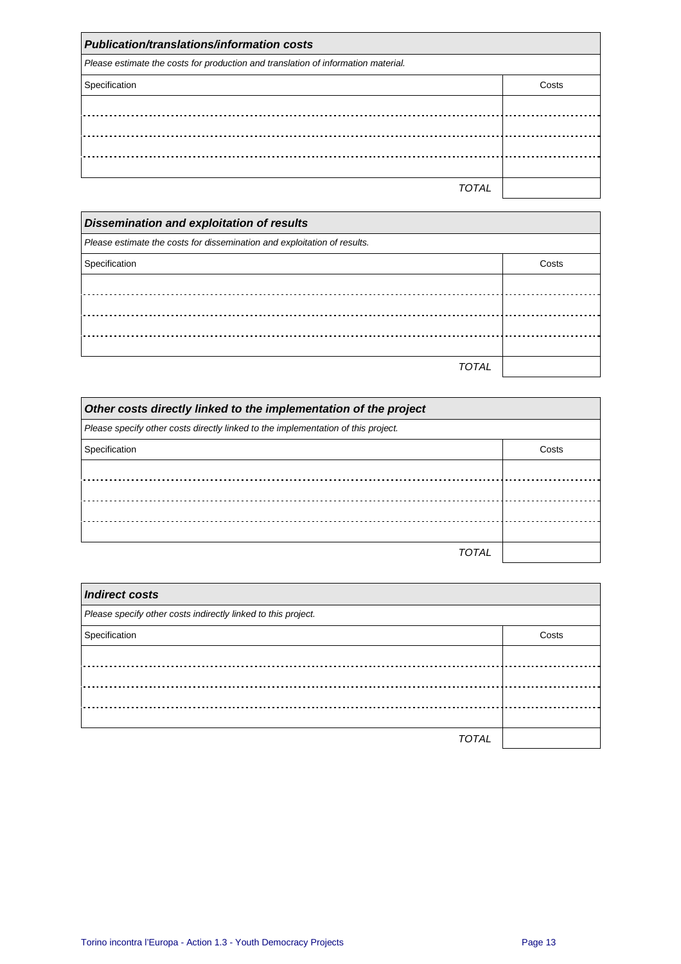| <b>Publication/translations/information costs</b>                                 |       |  |  |
|-----------------------------------------------------------------------------------|-------|--|--|
| Please estimate the costs for production and translation of information material. |       |  |  |
| Specification                                                                     | Costs |  |  |
|                                                                                   |       |  |  |
|                                                                                   |       |  |  |
|                                                                                   |       |  |  |
|                                                                                   |       |  |  |
| TOTAL                                                                             |       |  |  |

| <b>Dissemination and exploitation of results</b>                         |       |  |  |
|--------------------------------------------------------------------------|-------|--|--|
| Please estimate the costs for dissemination and exploitation of results. |       |  |  |
| Specification                                                            | Costs |  |  |
|                                                                          |       |  |  |
|                                                                          |       |  |  |
|                                                                          |       |  |  |
|                                                                          |       |  |  |
| <b>TOTAL</b>                                                             |       |  |  |

| Other costs directly linked to the implementation of the project                  |       |
|-----------------------------------------------------------------------------------|-------|
| Please specify other costs directly linked to the implementation of this project. |       |
| Specification                                                                     | Costs |
|                                                                                   |       |
|                                                                                   |       |
|                                                                                   |       |
|                                                                                   |       |
| TOTAI                                                                             |       |

| <b>Indirect costs</b>                                         |       |
|---------------------------------------------------------------|-------|
| Please specify other costs indirectly linked to this project. |       |
| Specification                                                 | Costs |
|                                                               |       |
|                                                               |       |
|                                                               |       |
|                                                               |       |
| <b>TOTAL</b>                                                  |       |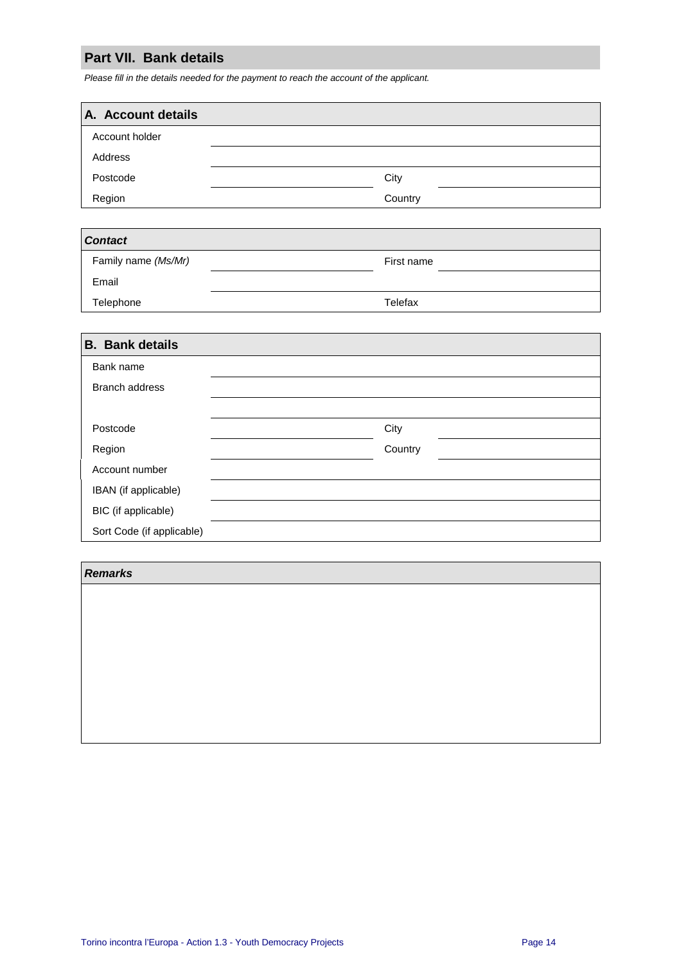# **Part VII. Bank details**

Please fill in the details needed for the payment to reach the account of the applicant.

| A. Account details |         |
|--------------------|---------|
| Account holder     |         |
| Address            |         |
| Postcode           | City    |
| Region             | Country |

| <b>Contact</b>      |            |
|---------------------|------------|
| Family name (Ms/Mr) | First name |
| Email               |            |
| Telephone           | Telefax    |

| <b>B.</b> Bank details    |         |  |
|---------------------------|---------|--|
| Bank name                 |         |  |
| <b>Branch address</b>     |         |  |
|                           |         |  |
| Postcode                  | City    |  |
| Region                    | Country |  |
| Account number            |         |  |
| IBAN (if applicable)      |         |  |
| BIC (if applicable)       |         |  |
| Sort Code (if applicable) |         |  |

# **Remarks**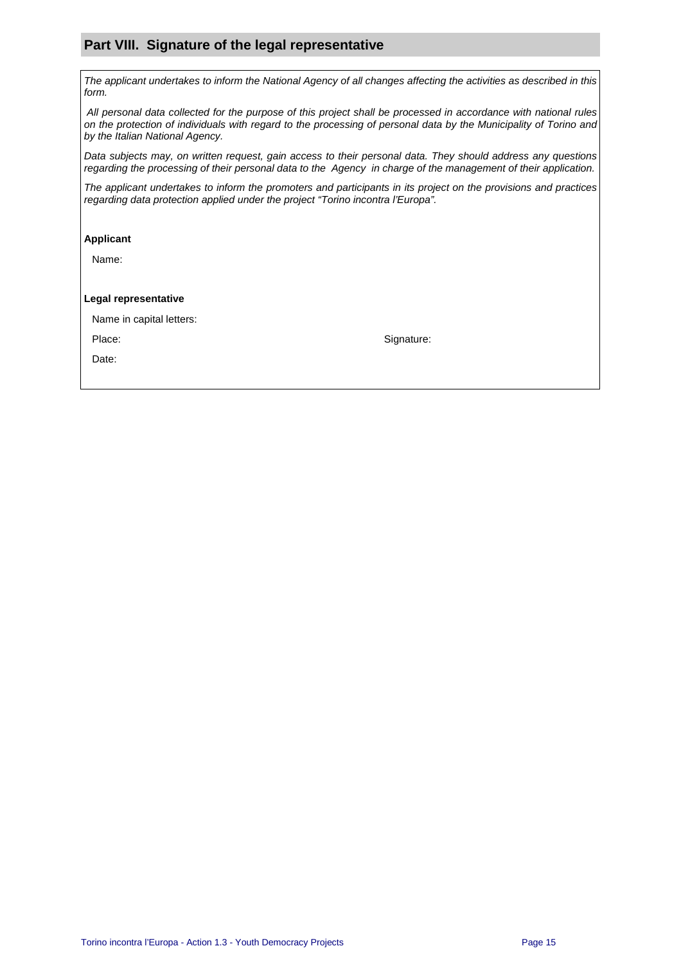## **Part VIII. Signature of the legal representative**

The applicant undertakes to inform the National Agency of all changes affecting the activities as described in this form.

 All personal data collected for the purpose of this project shall be processed in accordance with national rules on the protection of individuals with regard to the processing of personal data by the Municipality of Torino and by the Italian National Agency.

Data subjects may, on written request, gain access to their personal data. They should address any questions regarding the processing of their personal data to the Agency in charge of the management of their application.

The applicant undertakes to inform the promoters and participants in its project on the provisions and practices regarding data protection applied under the project "Torino incontra l'Europa".

#### **Applicant**

Name:

#### **Legal representative**

| Name in capital letters: |  |  |  |  |
|--------------------------|--|--|--|--|
|--------------------------|--|--|--|--|

Date:

Place: Signature: Signature: Signature: Signature: Signature: Signature: Signature: Signature: Signature: Signature: Signature: Signature: Signature: Signature: Signature: Signature: Signature: Signature: Signature: Signat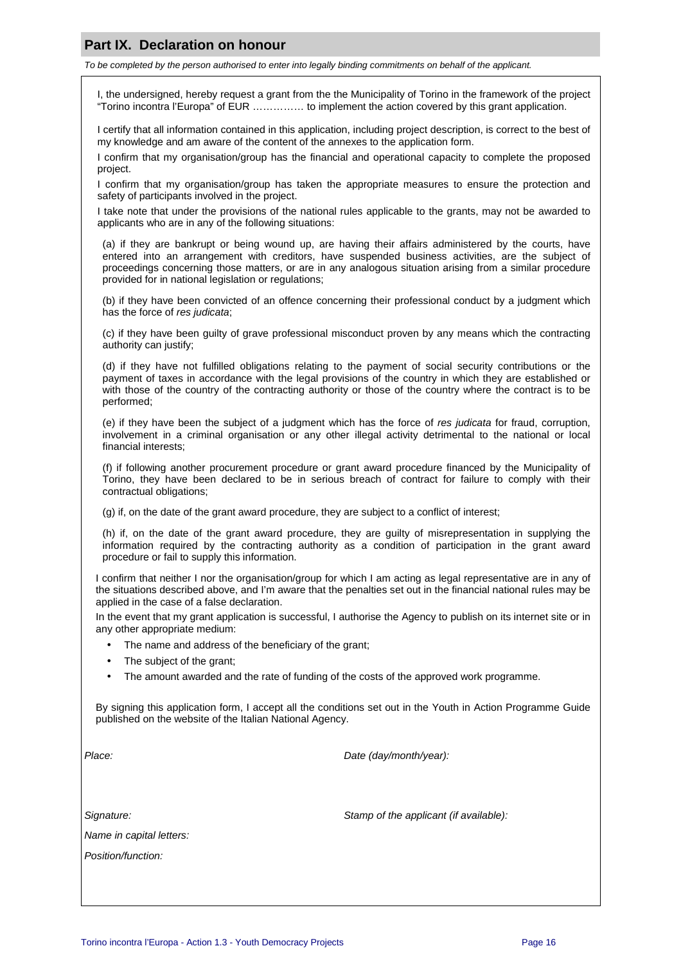### **Part IX. Declaration on honour**

To be completed by the person authorised to enter into legally binding commitments on behalf of the applicant.

I, the undersigned, hereby request a grant from the the Municipality of Torino in the framework of the project "Torino incontra l'Europa" of EUR …………… to implement the action covered by this grant application.

I certify that all information contained in this application, including project description, is correct to the best of my knowledge and am aware of the content of the annexes to the application form.

I confirm that my organisation/group has the financial and operational capacity to complete the proposed project.

I confirm that my organisation/group has taken the appropriate measures to ensure the protection and safety of participants involved in the project.

I take note that under the provisions of the national rules applicable to the grants, may not be awarded to applicants who are in any of the following situations:

(a) if they are bankrupt or being wound up, are having their affairs administered by the courts, have entered into an arrangement with creditors, have suspended business activities, are the subject of proceedings concerning those matters, or are in any analogous situation arising from a similar procedure provided for in national legislation or regulations;

(b) if they have been convicted of an offence concerning their professional conduct by a judgment which has the force of res judicata;

(c) if they have been guilty of grave professional misconduct proven by any means which the contracting authority can justify;

(d) if they have not fulfilled obligations relating to the payment of social security contributions or the payment of taxes in accordance with the legal provisions of the country in which they are established or with those of the country of the contracting authority or those of the country where the contract is to be performed;

(e) if they have been the subject of a judgment which has the force of res judicata for fraud, corruption, involvement in a criminal organisation or any other illegal activity detrimental to the national or local financial interests;

(f) if following another procurement procedure or grant award procedure financed by the Municipality of Torino, they have been declared to be in serious breach of contract for failure to comply with their contractual obligations;

(g) if, on the date of the grant award procedure, they are subject to a conflict of interest;

(h) if, on the date of the grant award procedure, they are guilty of misrepresentation in supplying the information required by the contracting authority as a condition of participation in the grant award procedure or fail to supply this information.

I confirm that neither I nor the organisation/group for which I am acting as legal representative are in any of the situations described above, and I'm aware that the penalties set out in the financial national rules may be applied in the case of a false declaration.

In the event that my grant application is successful, I authorise the Agency to publish on its internet site or in any other appropriate medium:

- The name and address of the beneficiary of the grant;
- The subject of the grant;
- The amount awarded and the rate of funding of the costs of the approved work programme.

By signing this application form, I accept all the conditions set out in the Youth in Action Programme Guide published on the website of the Italian National Agency.

Place: Place: Place: Place: Place: Place: Place: Place: Place: Place: Place: Place: Place: Place: Place: Place: Place: Place: Place: Place: Place: Place: Place: Place: Place: Place: Place: Place: Place: Place: Place: Place

Name in capital letters:

Position/function:

Signature: Stamp of the applicant (if available):